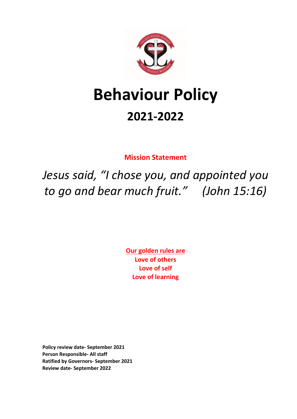

# **Behaviour Policy 2021-2022**

**Mission Statement**

*Jesus said, "I chose you, and appointed you to go and bear much fruit." (John 15:16)*

> **Our golden rules are Love of others Love of self Love of learning**

**Policy review date- September 2021 Person Responsible- All staff Ratified by Governors- September 2021 Review date- September 2022**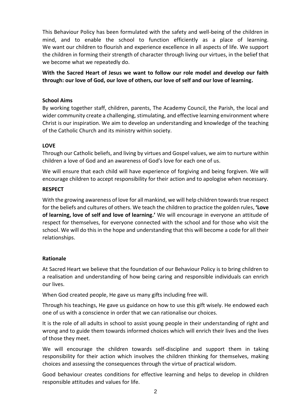This Behaviour Policy has been formulated with the safety and well-being of the children in mind, and to enable the school to function efficiently as a place of learning. We want our children to flourish and experience excellence in all aspects of life. We support the children in forming their strength of character through living our virtues, in the belief that we become what we repeatedly do.

**With the Sacred Heart of Jesus we want to follow our role model and develop our faith through: our love of God, our love of others, our love of self and our love of learning.**

## **School Aims**

By working together staff, children, parents, The Academy Council, the Parish, the local and wider community create a challenging, stimulating, and effective learning environment where Christ is our inspiration. We aim to develop an understanding and knowledge of the teaching of the Catholic Church and its ministry within society.

## **LOVE**

Through our Catholic beliefs, and living by virtues and Gospel values, we aim to nurture within children a love of God and an awareness of God's love for each one of us.

We will ensure that each child will have experience of forgiving and being forgiven. We will encourage children to accept responsibility for their action and to apologise when necessary.

## **RESPECT**

With the growing awareness of love for all mankind, we will help children towards true respect for the beliefs and cultures of others. We teach the children to practice the golden rules, **'Love of learning, love of self and love of learning.'** We will encourage in everyone an attitude of respect for themselves, for everyone connected with the school and for those who visit the school. We will do this in the hope and understanding that this will become a code for all their relationships.

# **Rationale**

At Sacred Heart we believe that the foundation of our Behaviour Policy is to bring children to a realisation and understanding of how being caring and responsible individuals can enrich our lives.

When God created people, He gave us many gifts including free will.

Through his teachings, He gave us guidance on how to use this gift wisely. He endowed each one of us with a conscience in order that we can rationalise our choices.

It is the role of all adults in school to assist young people in their understanding of right and wrong and to guide them towards informed choices which will enrich their lives and the lives of those they meet.

We will encourage the children towards self-discipline and support them in taking responsibility for their action which involves the children thinking for themselves, making choices and assessing the consequences through the virtue of practical wisdom.

Good behaviour creates conditions for effective learning and helps to develop in children responsible attitudes and values for life.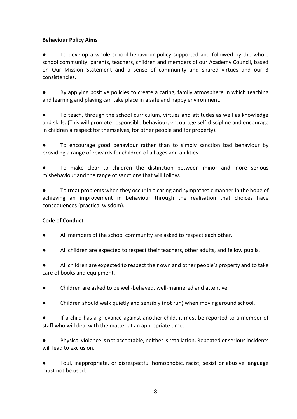# **Behaviour Policy Aims**

To develop a whole school behaviour policy supported and followed by the whole school community, parents, teachers, children and members of our Academy Council, based on Our Mission Statement and a sense of community and shared virtues and our 3 consistencies.

By applying positive policies to create a caring, family atmosphere in which teaching and learning and playing can take place in a safe and happy environment.

● To teach, through the school curriculum, virtues and attitudes as well as knowledge and skills. (This will promote responsible behaviour, encourage self-discipline and encourage in children a respect for themselves, for other people and for property).

To encourage good behaviour rather than to simply sanction bad behaviour by providing a range of rewards for children of all ages and abilities.

To make clear to children the distinction between minor and more serious misbehaviour and the range of sanctions that will follow.

To treat problems when they occur in a caring and sympathetic manner in the hope of achieving an improvement in behaviour through the realisation that choices have consequences (practical wisdom).

# **Code of Conduct**

- All members of the school community are asked to respect each other.
- All children are expected to respect their teachers, other adults, and fellow pupils.

All children are expected to respect their own and other people's property and to take care of books and equipment.

- Children are asked to be well-behaved, well-mannered and attentive.
- Children should walk quietly and sensibly (not run) when moving around school.

If a child has a grievance against another child, it must be reported to a member of staff who will deal with the matter at an appropriate time.

Physical violence is not acceptable, neither is retaliation. Repeated or serious incidents will lead to exclusion.

Foul, inappropriate, or disrespectful homophobic, racist, sexist or abusive language must not be used.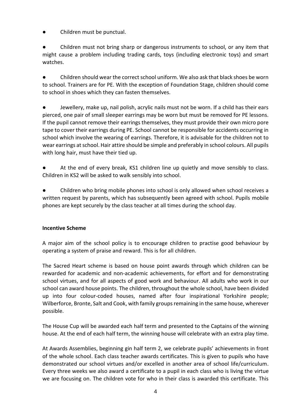Children must be punctual.

Children must not bring sharp or dangerous instruments to school, or any item that might cause a problem including trading cards, toys (including electronic toys) and smart watches.

Children should wear the correct school uniform. We also ask that black shoes be worn to school. Trainers are for PE. With the exception of Foundation Stage, children should come to school in shoes which they can fasten themselves.

Jewellery, make up, nail polish, acrylic nails must not be worn. If a child has their ears pierced, one pair of small sleeper earrings may be worn but must be removed for PE lessons. If the pupil cannot remove their earrings themselves, they must provide their own micro pore tape to cover their earrings during PE. School cannot be responsible for accidents occurring in school which involve the wearing of earrings. Therefore, it is advisable for the children not to wear earrings at school. Hair attire should be simple and preferably in school colours. All pupils with long hair, must have their tied up.

At the end of every break, KS1 children line up quietly and move sensibly to class. Children in KS2 will be asked to walk sensibly into school.

Children who bring mobile phones into school is only allowed when school receives a written request by parents, which has subsequently been agreed with school. Pupils mobile phones are kept securely by the class teacher at all times during the school day.

# **Incentive Scheme**

A major aim of the school policy is to encourage children to practise good behaviour by operating a system of praise and reward. This is for all children.

The Sacred Heart scheme is based on house point awards through which children can be rewarded for academic and non-academic achievements, for effort and for demonstrating school virtues, and for all aspects of good work and behaviour. All adults who work in our school can award house points. The children, throughout the whole school, have been divided up into four colour-coded houses, named after four inspirational Yorkshire people; Wilberforce, Bronte, Salt and Cook, with family groups remaining in the same house, wherever possible.

The House Cup will be awarded each half term and presented to the Captains of the winning house. At the end of each half term, the winning house will celebrate with an extra play time.

At Awards Assemblies, beginning gin half term 2, we celebrate pupils' achievements in front of the whole school. Each class teacher awards certificates. This is given to pupils who have demonstrated our school virtues and/or excelled in another area of school life/curriculum. Every three weeks we also award a certificate to a pupil in each class who is living the virtue we are focusing on. The children vote for who in their class is awarded this certificate. This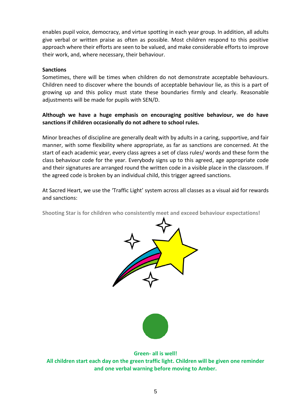enables pupil voice, democracy, and virtue spotting in each year group. In addition, all adults give verbal or written praise as often as possible. Most children respond to this positive approach where their efforts are seen to be valued, and make considerable efforts to improve their work, and, where necessary, their behaviour.

## **Sanctions**

Sometimes, there will be times when children do not demonstrate acceptable behaviours. Children need to discover where the bounds of acceptable behaviour lie, as this is a part of growing up and this policy must state these boundaries firmly and clearly. Reasonable adjustments will be made for pupils with SEN/D.

# **Although we have a huge emphasis on encouraging positive behaviour, we do have sanctions if children occasionally do not adhere to school rules.**

Minor breaches of discipline are generally dealt with by adults in a caring, supportive, and fair manner, with some flexibility where appropriate, as far as sanctions are concerned. At the start of each academic year, every class agrees a set of class rules/ words and these form the class behaviour code for the year. Everybody signs up to this agreed, age appropriate code and their signatures are arranged round the written code in a visible place in the classroom. If the agreed code is broken by an individual child, this trigger agreed sanctions.

At Sacred Heart, we use the 'Traffic Light' system across all classes as a visual aid for rewards and sanctions:

**Shooting Star is for children who consistently meet and exceed behaviour expectations!**





**Green- all is well!**

**All children start each day on the green traffic light. Children will be given one reminder and one verbal warning before moving to Amber.**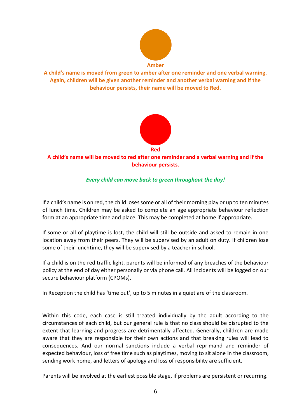

**A child's name is moved from green to amber after one reminder and one verbal warning. Again, children will be given another reminder and another verbal warning and if the behaviour persists, their name will be moved to Red.**



**A child's name will be moved to red after one reminder and a verbal warning and if the behaviour persists.**

# *Every child can move back to green throughout the day!*

If a child's name is on red, the child loses some or all of their morning play or up to ten minutes of lunch time. Children may be asked to complete an age appropriate behaviour reflection form at an appropriate time and place. This may be completed at home if appropriate.

If some or all of playtime is lost, the child will still be outside and asked to remain in one location away from their peers. They will be supervised by an adult on duty. If children lose some of their lunchtime, they will be supervised by a teacher in school.

If a child is on the red traffic light, parents will be informed of any breaches of the behaviour policy at the end of day either personally or via phone call. All incidents will be logged on our secure behaviour platform (CPOMs).

In Reception the child has 'time out', up to 5 minutes in a quiet are of the classroom.

Within this code, each case is still treated individually by the adult according to the circumstances of each child, but our general rule is that no class should be disrupted to the extent that learning and progress are detrimentally affected. Generally, children are made aware that they are responsible for their own actions and that breaking rules will lead to consequences. And our normal sanctions include a verbal reprimand and reminder of expected behaviour, loss of free time such as playtimes, moving to sit alone in the classroom, sending work home, and letters of apology and loss of responsibility are sufficient.

Parents will be involved at the earliest possible stage, if problems are persistent or recurring.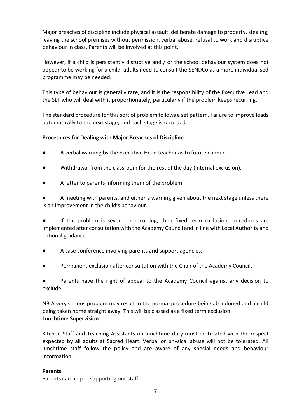Major breaches of discipline include physical assault, deliberate damage to property, stealing, leaving the school premises without permission, verbal abuse, refusal to work and disruptive behaviour in class. Parents will be involved at this point.

However, if a child is persistently disruptive and / or the school behaviour system does not appear to be working for a child, adults need to consult the SENDCo as a more individualised programme may be needed.

This type of behaviour is generally rare, and it is the responsibility of the Executive Lead and the SLT who will deal with it proportionately, particularly if the problem keeps recurring.

The standard procedure for this sort of problem follows a set pattern. Failure to improve leads automatically to the next stage, and each stage is recorded.

# **Procedures for Dealing with Major Breaches of Discipline**

- A verbal warning by the Executive Head teacher as to future conduct.
- Withdrawal from the classroom for the rest of the day (internal exclusion).
- A letter to parents informing them of the problem.

A meeting with parents, and either a warning given about the next stage unless there is an improvement in the child's behaviour.

If the problem is severe or recurring, then fixed term exclusion procedures are implemented after consultation with the Academy Council and in line with Local Authority and national guidance.

- A case conference involving parents and support agencies.
- Permanent exclusion after consultation with the Chair of the Academy Council.

Parents have the right of appeal to the Academy Council against any decision to exclude.

NB A very serious problem may result in the normal procedure being abandoned and a child being taken home straight away. This will be classed as a fixed term exclusion. **Lunchtime Supervision**

Kitchen Staff and Teaching Assistants on lunchtime duty must be treated with the respect expected by all adults at Sacred Heart. Verbal or physical abuse will not be tolerated. All lunchtime staff follow the policy and are aware of any special needs and behaviour information.

# **Parents**

Parents can help in supporting our staff: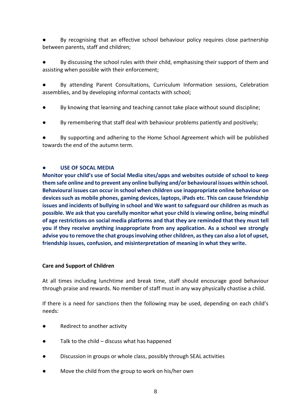By recognising that an effective school behaviour policy requires close partnership between parents, staff and children;

By discussing the school rules with their child, emphasising their support of them and assisting when possible with their enforcement;

By attending Parent Consultations, Curriculum Information sessions, Celebration assemblies, and by developing informal contacts with school;

- By knowing that learning and teaching cannot take place without sound discipline;
- By remembering that staff deal with behaviour problems patiently and positively;

By supporting and adhering to the Home School Agreement which will be published towards the end of the autumn term.

## **USE OF SOCAL MEDIA**

**Monitor your child's use of Social Media sites/apps and websites outside of school to keep them safe online and to prevent any online bullying and/or behavioural issues within school. Behavioural issues can occur in school when children use inappropriate online behaviour on devices such as mobile phones, gaming devices, laptops, iPads etc. This can cause friendship issues and incidents of bullying in school and We want to safeguard our children as much as possible. We ask that you carefully monitor what your child is viewing online, being mindful of age restrictions on social media platforms and that they are reminded that they must tell you if they receive anything inappropriate from any application. As a school we strongly advise you to remove the chat groups involving other children, as they can also a lot of upset, friendship issues, confusion, and misinterpretation of meaning in what they write.**

# **Care and Support of Children**

At all times including lunchtime and break time, staff should encourage good behaviour through praise and rewards. No member of staff must in any way physically chastise a child.

If there is a need for sanctions then the following may be used, depending on each child's needs:

- Redirect to another activity
- Talk to the child discuss what has happened
- Discussion in groups or whole class, possibly through SEAL activities
- Move the child from the group to work on his/her own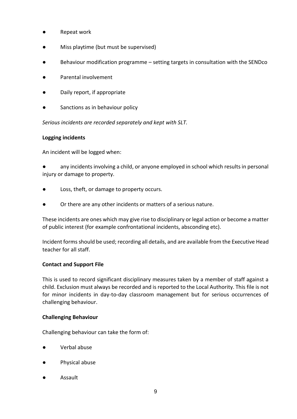- Repeat work
- Miss playtime (but must be supervised)
- Behaviour modification programme setting targets in consultation with the SENDco
- Parental involvement
- Daily report, if appropriate
- Sanctions as in behaviour policy

*Serious incidents are recorded separately and kept with SLT.*

#### **Logging incidents**

An incident will be logged when:

any incidents involving a child, or anyone employed in school which results in personal injury or damage to property.

- Loss, theft, or damage to property occurs.
- Or there are any other incidents or matters of a serious nature.

These incidents are ones which may give rise to disciplinary or legal action or become a matter of public interest (for example confrontational incidents, absconding etc).

Incident forms should be used; recording all details, and are available from the Executive Head teacher for all staff.

#### **Contact and Support File**

This is used to record significant disciplinary measures taken by a member of staff against a child. Exclusion must always be recorded and is reported to the Local Authority. This file is not for minor incidents in day-to-day classroom management but for serious occurrences of challenging behaviour.

#### **Challenging Behaviour**

Challenging behaviour can take the form of:

- Verbal abuse
- Physical abuse
- **Assault**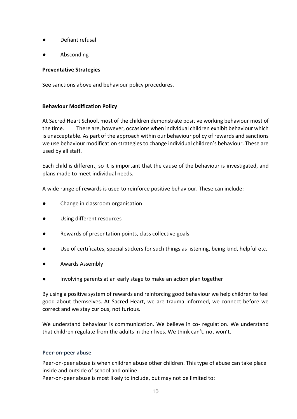- Defiant refusal
- **Absconding**

## **Preventative Strategies**

See sanctions above and behaviour policy procedures.

## **Behaviour Modification Policy**

At Sacred Heart School, most of the children demonstrate positive working behaviour most of the time. There are, however, occasions when individual children exhibit behaviour which is unacceptable. As part of the approach within our behaviour policy of rewards and sanctions we use behaviour modification strategies to change individual children's behaviour. These are used by all staff.

Each child is different, so it is important that the cause of the behaviour is investigated, and plans made to meet individual needs.

A wide range of rewards is used to reinforce positive behaviour. These can include:

- Change in classroom organisation
- Using different resources
- Rewards of presentation points, class collective goals
- Use of certificates, special stickers for such things as listening, being kind, helpful etc.
- Awards Assembly
- Involving parents at an early stage to make an action plan together

By using a positive system of rewards and reinforcing good behaviour we help children to feel good about themselves. At Sacred Heart, we are trauma informed, we connect before we correct and we stay curious, not furious.

We understand behaviour is communication. We believe in co- regulation. We understand that children regulate from the adults in their lives. We think can't, not won't.

#### **Peer-on-peer abuse**

Peer-on-peer abuse is when children abuse other children. This type of abuse can take place inside and outside of school and online.

Peer-on-peer abuse is most likely to include, but may not be limited to: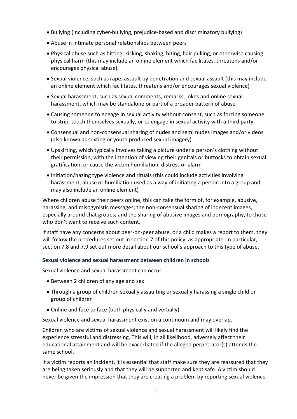- Bullying (including cyber-bullying, prejudice-based and discriminatory bullying)
- Abuse in intimate personal relationships between peers
- Physical abuse such as hitting, kicking, shaking, biting, hair pulling, or otherwise causing physical harm (this may include an online element which facilitates, threatens and/or encourages physical abuse)
- Sexual violence, such as rape, assault by penetration and sexual assault (this may include an online element which facilitates, threatens and/or encourages sexual violence)
- Sexual harassment, such as sexual comments, remarks, jokes and online sexual harassment, which may be standalone or part of a broader pattern of abuse
- Causing someone to engage in sexual activity without consent, such as forcing someone to strip, touch themselves sexually, or to engage in sexual activity with a third party
- Consensual and non-consensual sharing of nudes and semi nudes images and/or videos (also known as sexting or youth produced sexual imagery)
- Upskirting, which typically involves taking a picture under a person's clothing without their permission, with the intention of viewing their genitals or buttocks to obtain sexual gratification, or cause the victim humiliation, distress or alarm
- Initiation/hazing type violence and rituals (this could include activities involving harassment, abuse or humiliation used as a way of initiating a person into a group and may also include an online element)

Where children abuse their peers online, this can take the form of, for example, abusive, harassing, and misogynistic messages; the non-consensual sharing of indecent images, especially around chat groups; and the sharing of abusive images and pornography, to those who don't want to receive such content.

If staff have any concerns about peer-on-peer abuse, or a child makes a report to them, they will follow the procedures set out in section 7 of this policy, as appropriate. In particular, section 7.8 and 7.9 set out more detail about our school's approach to this type of abuse.

# **Sexual violence and sexual harassment between children in schools**

Sexual violence and sexual harassment can occur:

- Between 2 children of any age and sex
- Through a group of children sexually assaulting or sexually harassing a single child or group of children
- Online and face to face (both physically and verbally)

Sexual violence and sexual harassment exist on a continuum and may overlap.

Children who are victims of sexual violence and sexual harassment will likely find the experience stressful and distressing. This will, in all likelihood, adversely affect their educational attainment and will be exacerbated if the alleged perpetrator(s) attends the same school.

If a victim reports an incident, it is essential that staff make sure they are reassured that they are being taken seriously and that they will be supported and kept safe. A victim should never be given the impression that they are creating a problem by reporting sexual violence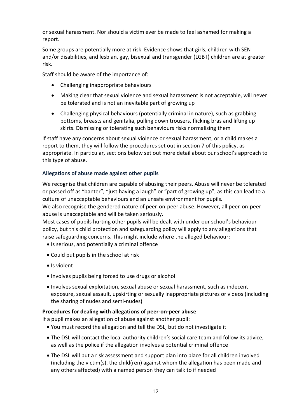or sexual harassment. Nor should a victim ever be made to feel ashamed for making a report.

Some groups are potentially more at risk. Evidence shows that girls, children with SEN and/or disabilities, and lesbian, gay, bisexual and transgender (LGBT) children are at greater risk.

Staff should be aware of the importance of:

- Challenging inappropriate behaviours
- Making clear that sexual violence and sexual harassment is not acceptable, will never be tolerated and is not an inevitable part of growing up
- Challenging physical behaviours (potentially criminal in nature), such as grabbing bottoms, breasts and genitalia, pulling down trousers, flicking bras and lifting up skirts. Dismissing or tolerating such behaviours risks normalising them

If staff have any concerns about sexual violence or sexual harassment, or a child makes a report to them, they will follow the procedures set out in section 7 of this policy, as appropriate. In particular, sections below set out more detail about our school's approach to this type of abuse.

## **Allegations of abuse made against other pupils**

We recognise that children are capable of abusing their peers. Abuse will never be tolerated or passed off as "banter", "just having a laugh" or "part of growing up", as this can lead to a culture of unacceptable behaviours and an unsafe environment for pupils.

We also recognise the gendered nature of peer-on-peer abuse. However, all peer-on-peer abuse is unacceptable and will be taken seriously.

Most cases of pupils hurting other pupils will be dealt with under our school's behaviour policy, but this child protection and safeguarding policy will apply to any allegations that raise safeguarding concerns. This might include where the alleged behaviour:

- Is serious, and potentially a criminal offence
- Could put pupils in the school at risk
- Is violent
- Involves pupils being forced to use drugs or alcohol
- Involves sexual exploitation, sexual abuse or sexual harassment, such as indecent exposure, sexual assault, upskirting or sexually inappropriate pictures or videos (including the sharing of nudes and semi-nudes)

#### **Procedures for dealing with allegations of peer-on-peer abuse**

If a pupil makes an allegation of abuse against another pupil:

- You must record the allegation and tell the DSL, but do not investigate it
- The DSL will contact the local authority children's social care team and follow its advice, as well as the police if the allegation involves a potential criminal offence
- The DSL will put a risk assessment and support plan into place for all children involved (including the victim(s), the child(ren) against whom the allegation has been made and any others affected) with a named person they can talk to if needed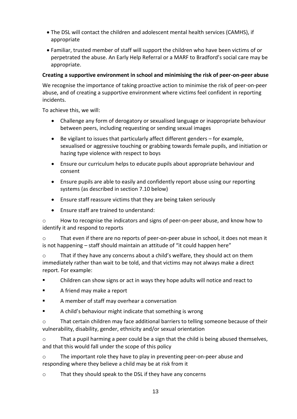- The DSL will contact the children and adolescent mental health services (CAMHS), if appropriate
- Familiar, trusted member of staff will support the children who have been victims of or perpetrated the abuse. An Early Help Referral or a MARF to Bradford's social care may be appropriate.

# **Creating a supportive environment in school and minimising the risk of peer-on-peer abuse**

We recognise the importance of taking proactive action to minimise the risk of peer-on-peer abuse, and of creating a supportive environment where victims feel confident in reporting incidents.

To achieve this, we will:

- Challenge any form of derogatory or sexualised language or inappropriate behaviour between peers, including requesting or sending sexual images
- Be vigilant to issues that particularly affect different genders for example, sexualised or aggressive touching or grabbing towards female pupils, and initiation or hazing type violence with respect to boys
- Ensure our curriculum helps to educate pupils about appropriate behaviour and consent
- Ensure pupils are able to easily and confidently report abuse using our reporting systems (as described in section 7.10 below)
- Ensure staff reassure victims that they are being taken seriously
- Ensure staff are trained to understand:

o How to recognise the indicators and signs of peer-on-peer abuse, and know how to identify it and respond to reports

o That even if there are no reports of peer-on-peer abuse in school, it does not mean it is not happening – staff should maintain an attitude of "it could happen here"

o That if they have any concerns about a child's welfare, they should act on them immediately rather than wait to be told, and that victims may not always make a direct report. For example:

▪ Children can show signs or act in ways they hope adults will notice and react to

- A friend may make a report
- A member of staff may overhear a conversation
- A child's behaviour might indicate that something is wrong

o That certain children may face additional barriers to telling someone because of their vulnerability, disability, gender, ethnicity and/or sexual orientation

 $\circ$  That a pupil harming a peer could be a sign that the child is being abused themselves, and that this would fall under the scope of this policy

o The important role they have to play in preventing peer-on-peer abuse and responding where they believe a child may be at risk from it

o That they should speak to the DSL if they have any concerns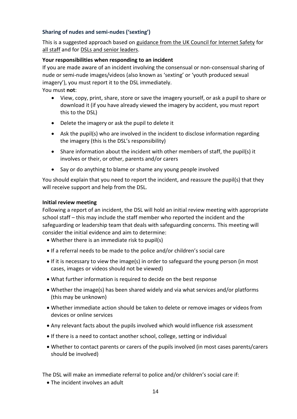# **Sharing of nudes and semi-nudes ('sexting')**

This is a suggested approach based on [guidance from the UK Council for Internet Safety](https://www.gov.uk/government/publications/sharing-nudes-and-semi-nudes-advice-for-education-settings-working-with-children-and-young-people) for all staff and for [DSLs and senior leaders.](https://assets.publishing.service.gov.uk/government/uploads/system/uploads/attachment_data/file/609874/6_2939_SP_NCA_Sexting_In_Schools_FINAL_Update_Jan17.pdf)

# **Your responsibilities when responding to an incident**

If you are made aware of an incident involving the consensual or non-consensual sharing of nude or semi-nude images/videos (also known as 'sexting' or 'youth produced sexual imagery'), you must report it to the DSL immediately.

You must **not**:

- View, copy, print, share, store or save the imagery yourself, or ask a pupil to share or download it (if you have already viewed the imagery by accident, you must report this to the DSL)
- Delete the imagery or ask the pupil to delete it
- Ask the pupil(s) who are involved in the incident to disclose information regarding the imagery (this is the DSL's responsibility)
- Share information about the incident with other members of staff, the pupil(s) it involves or their, or other, parents and/or carers
- Say or do anything to blame or shame any young people involved

You should explain that you need to report the incident, and reassure the pupil(s) that they will receive support and help from the DSL.

## **Initial review meeting**

Following a report of an incident, the DSL will hold an initial review meeting with appropriate school staff – this may include the staff member who reported the incident and the safeguarding or leadership team that deals with safeguarding concerns. This meeting will consider the initial evidence and aim to determine:

- Whether there is an immediate risk to pupil(s)
- If a referral needs to be made to the police and/or children's social care
- If it is necessary to view the image(s) in order to safeguard the young person (in most cases, images or videos should not be viewed)
- What further information is required to decide on the best response
- Whether the image(s) has been shared widely and via what services and/or platforms (this may be unknown)
- Whether immediate action should be taken to delete or remove images or videos from devices or online services
- Any relevant facts about the pupils involved which would influence risk assessment
- If there is a need to contact another school, college, setting or individual
- Whether to contact parents or carers of the pupils involved (in most cases parents/carers should be involved)

The DSL will make an immediate referral to police and/or children's social care if:

• The incident involves an adult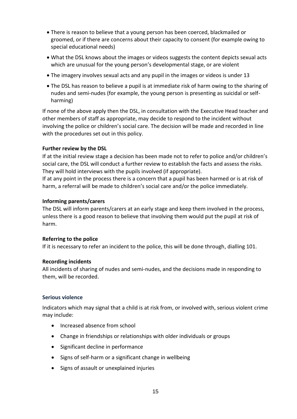- There is reason to believe that a young person has been coerced, blackmailed or groomed, or if there are concerns about their capacity to consent (for example owing to special educational needs)
- What the DSL knows about the images or videos suggests the content depicts sexual acts which are unusual for the young person's developmental stage, or are violent
- The imagery involves sexual acts and any pupil in the images or videos is under 13
- The DSL has reason to believe a pupil is at immediate risk of harm owing to the sharing of nudes and semi-nudes (for example, the young person is presenting as suicidal or selfharming)

If none of the above apply then the DSL, in consultation with the Executive Head teacher and other members of staff as appropriate, may decide to respond to the incident without involving the police or children's social care. The decision will be made and recorded in line with the procedures set out in this policy.

# **Further review by the DSL**

If at the initial review stage a decision has been made not to refer to police and/or children's social care, the DSL will conduct a further review to establish the facts and assess the risks. They will hold interviews with the pupils involved (if appropriate).

If at any point in the process there is a concern that a pupil has been harmed or is at risk of harm, a referral will be made to children's social care and/or the police immediately.

## **Informing parents/carers**

The DSL will inform parents/carers at an early stage and keep them involved in the process, unless there is a good reason to believe that involving them would put the pupil at risk of harm.

#### **Referring to the police**

If it is necessary to refer an incident to the police, this will be done through, dialling 101.

#### **Recording incidents**

All incidents of sharing of nudes and semi-nudes, and the decisions made in responding to them, will be recorded.

#### **Serious violence**

Indicators which may signal that a child is at risk from, or involved with, serious violent crime may include:

- Increased absence from school
- Change in friendships or relationships with older individuals or groups
- Significant decline in performance
- Signs of self-harm or a significant change in wellbeing
- Signs of assault or unexplained injuries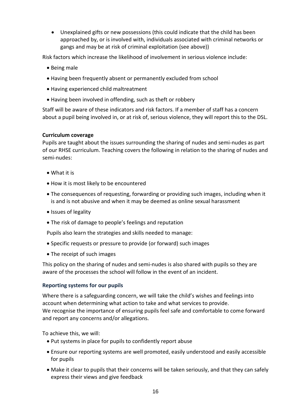• Unexplained gifts or new possessions (this could indicate that the child has been approached by, or is involved with, individuals associated with criminal networks or gangs and may be at risk of criminal exploitation (see above))

Risk factors which increase the likelihood of involvement in serious violence include:

- Being male
- Having been frequently absent or permanently excluded from school
- Having experienced child maltreatment
- Having been involved in offending, such as theft or robbery

Staff will be aware of these indicators and risk factors. If a member of staff has a concern about a pupil being involved in, or at risk of, serious violence, they will report this to the DSL.

#### **Curriculum coverage**

Pupils are taught about the issues surrounding the sharing of nudes and semi-nudes as part of our RHSE curriculum. Teaching covers the following in relation to the sharing of nudes and semi-nudes:

- What it is
- How it is most likely to be encountered
- The consequences of requesting, forwarding or providing such images, including when it is and is not abusive and when it may be deemed as online sexual harassment
- Issues of legality
- The risk of damage to people's feelings and reputation

Pupils also learn the strategies and skills needed to manage:

- Specific requests or pressure to provide (or forward) such images
- The receipt of such images

This policy on the sharing of nudes and semi-nudes is also shared with pupils so they are aware of the processes the school will follow in the event of an incident.

#### **Reporting systems for our pupils**

Where there is a safeguarding concern, we will take the child's wishes and feelings into account when determining what action to take and what services to provide. We recognise the importance of ensuring pupils feel safe and comfortable to come forward and report any concerns and/or allegations.

To achieve this, we will:

- Put systems in place for pupils to confidently report abuse
- Ensure our reporting systems are well promoted, easily understood and easily accessible for pupils
- Make it clear to pupils that their concerns will be taken seriously, and that they can safely express their views and give feedback